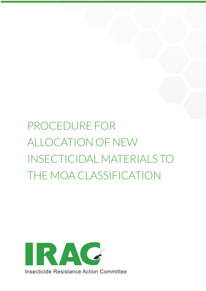# PROCEDURE FOR ALLOCATION OF NEW INSECTICIDAL MATERIALS TO THE MOA CLASSIFICATION

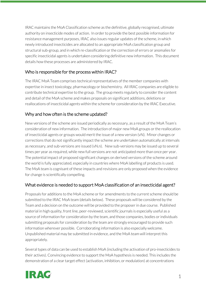IRAC maintains the MoA Classification scheme as the definitive, globally recognised, ultimate authority on insecticide modes of action. In order to provide the best possible information for resistance management purposes, IRAC also issues regular updates of the scheme, in which newly introduced insecticides are allocated to an appropriate MoA classification group and structural sub-group, and in which re-classification or the correction of errors or anomalies for specific insecticidal agents is undertaken considering definitive new information. This document details how these processes are administered by IRAC.

#### Who is responsible for the process within IRAC?

The IRAC MoA Team comprises technical representatives of the member companies with expertise in insect toxicology, pharmacology or biochemistry. All IRAC companies are eligible to contribute technical expertise to the group. The group meets regularly to consider the content and detail of the MoA scheme and makes proposals on significant additions, deletions or reallocations of insecticidal agents within the scheme for consideration by the IRAC Executive.

# Why and how often is the scheme updated?

New versions of the scheme are issued periodically as necessary, as a result of the MoA Team's consideration of new information. The introduction of major new MoA groups or the reallocation of insecticidal agents or groups would merit the issue of a new version (vN). Minor changes or corrections that do not significantly impact the scheme are undertaken automatically at intervals as necessary, and sub-versions are issued (vN.n). New sub-versions may be issued up to several times per year as required, while new full versions are not anticipated more than once per year. The potential impact of proposed significant changes on derived versions of the scheme around the world is fully appreciated, especially in countries where MoA labelling of products is used. The MoA team is cognisant of these impacts and revisions are only proposed when the evidence for change is scientifically compelling.

# What evidence is needed to support MoA classification of an insecticidal agent?

Proposals for additions to the MoA scheme or for amendments to the current scheme should be submitted to the IRAC MoA team (details below). These proposals will be considered by the Team and a decision on the outcome will be provided to the proposer in due course. Published material in high quality, front line, peer-reviewed, scientific journals is especially useful as a source of information for consideration by the team, and those companies, bodies or individuals submitting proposals for consideration by the team are strongly encouraged to provide such information wherever possible. Corroborating information is also especially welcome. Unpublished material may be submitted in evidence, and the MoA team will interpret this appropriately.

Several types of data can be used to establish MoA (including the activation of pro-insecticides to their actives). Convincing evidence to support the MoA hypothesis is needed. This includes the demonstration of a clear target effect (activation, inhibition, or modulation) at concentrations

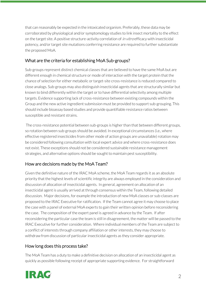that can reasonably be expected in the intoxicated organism. Preferably, these data may be corroborated by physiological and/or symptomology studies to link insect mortality to the effect on the target site. A positive structure-activity correlation of *in vitro* efficacy with insecticidal potency, and/or target site mutations conferring resistance are required to further substantiate the proposed MoA.

### What are the criteria for establishing MoA Sub-groups?

Sub-groups represent distinct chemical classes that are believed to have the same MoA but are different enough in chemical structure or mode of interaction with the target protein that the chance of selection for either metabolic or target-site cross-resistance is reduced compared to close analogs. Sub-groups may also distinguish insecticidal agents that are structurally similar but known to bind differently within the target or to have differential selectivity among multiple targets. Evidence supporting lack of cross-resistance between existing compounds within the Group and the new active ingredient submission must be provided to support sub-grouping. This should include bioassay based studies and provide quantifiable resistance ratios between susceptible and resistant strains.

The cross-resistance potential between sub-groups is higher than that between different groups, so rotation between sub-groups should be avoided. In exceptional circumstances (i.e., where effective registered insecticides from other mode of action groups are unavailable) rotation may be considered following consultation with local expert advice and where cross-resistance does not exist. These exceptions should not be considered sustainable resistance management strategies, and alternative options should be sought to maintain pest susceptibility.

#### How are decisions made by the MoA Team?

Given the definitive nature of the IRAC MoA scheme, the MoA Team regards it as an absolute priority that the highest levels of scientific integrity are always employed in the consideration and discussion of allocation of insecticidal agents. In general, agreement on allocation of an insecticidal agent is usually arrived at through consensus within the Team, following detailed discussion. Major decisions, for example the introduction of new MoA classes or sub-classes are proposed to the IRAC Executive for ratification. If the Team cannot agree it may choose to place the case with a panel of external MoA experts to gain their written opinion before reconsidering the case. The composition of the expert panel is agreed in advance by the Team. If after reconsidering the particular case the team is still in disagreement, the matter will be passed to the IRAC Executive for further consideration. Where individual members of the Team are subject to a conflict of interests through company affiliation or other interests, they may choose to withdraw from discussion of particular insecticidal agents as they consider appropriate.

#### How long does this process take?

The MoA Team has a duty to make a definitive decision on allocation of an insecticidal agent as quickly as possible following receipt of appropriate supporting evidence. For straightforward

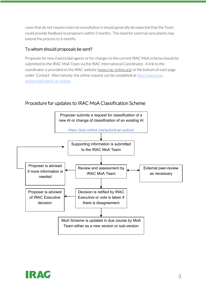cases that do not require external consultation it should generally be expected that the Team could provide feedback to proposers within 3 months. The need for external consultants may extend the process to 6 months.

#### To whom should proposals be sent?

Proposals for new insecticidal agents or for changes to the current IRAC MoA scheme should be submitted to the IRAC MoA Team via the IRAC International Coordinator. A link to the coordinator is provided on the IRAC website (www.irac-online.org) at the bottom of each page under 'Contact'. Alternatively, the online request can be completed at http://www.iraconline.org/submit-an-active/

# Procedure for updates to IRAC MoA Classification Scheme



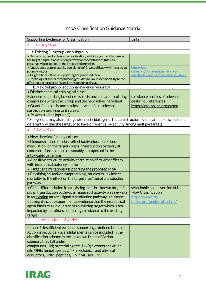# MoA Classification Guidance Matrix

| Supporting Evidence for Classification                                                                                                                                                                                                                                                                                                                                                                                | Links                                                                                                             |
|-----------------------------------------------------------------------------------------------------------------------------------------------------------------------------------------------------------------------------------------------------------------------------------------------------------------------------------------------------------------------------------------------------------------------|-------------------------------------------------------------------------------------------------------------------|
| 1. Existing Group                                                                                                                                                                                                                                                                                                                                                                                                     |                                                                                                                   |
| a. Existing Subgroup / no Subgroup                                                                                                                                                                                                                                                                                                                                                                                    |                                                                                                                   |
| · Demonstration of a clear effect (activation, inhibition, or modulation) on<br>the target / signal transduction pathway at concentrations that can<br>reasonably be expected in the intoxicated organism                                                                                                                                                                                                             |                                                                                                                   |
| • A positive structure-activity correlation of in vitro efficacy with insecticidal<br>potency and/or<br>. Target site mutation(s) supporting the proposed MoA                                                                                                                                                                                                                                                         | https://irac-<br>online.org/documents/established-<br>insecticide-target-site-mutations/?ext=xls                  |
| . Physiological and/or symptomology studies to link insect mortality to the<br>effect on the target site / signal transduction pathway                                                                                                                                                                                                                                                                                |                                                                                                                   |
| b. New Subgroup (additional evidence required)                                                                                                                                                                                                                                                                                                                                                                        |                                                                                                                   |
| · Distinct chemical / biological class*                                                                                                                                                                                                                                                                                                                                                                               |                                                                                                                   |
| Evidence supporting lack of cross-resistance between existing<br>compounds within the Group and the new active ingredient:<br>• Quantifiable resistance ratios between field-relevant<br>susceptible and resistant strains<br>• <i>In vitro</i> studies (optional)                                                                                                                                                    | resistance profiles of relevant<br>pests incl. references<br>https://irac-online.org/pests/                       |
| * Sub-groups may also distinguish insecticidal agents that are structurally similar but known to bind<br>differently within the target or to have differential selectivity among multiple targets.                                                                                                                                                                                                                    |                                                                                                                   |
| 2. New Group                                                                                                                                                                                                                                                                                                                                                                                                          |                                                                                                                   |
| • New chemical / biological class                                                                                                                                                                                                                                                                                                                                                                                     |                                                                                                                   |
| • Demonstration of a clear effect (activation, inhibition, or<br>modulation) on the target / signal transduction pathway at<br>concentrations that can reasonably be expected in the<br>intoxicated organism                                                                                                                                                                                                          |                                                                                                                   |
| • A positive structure-activity correlation of in vitro efficacy<br>with insecticidal potency and/or<br>• Target site mutation(s) supporting the proposed MoA                                                                                                                                                                                                                                                         |                                                                                                                   |
| • Physiological and/or symptomology studies to link insect<br>mortality to the effect on the target site / signal transduction<br>pathway                                                                                                                                                                                                                                                                             |                                                                                                                   |
| • Clear differentiation from existing sites in a known target /<br>signal transduction pathway is required if activity on a new site<br>in an existing target / signal transduction pathway is claimed:<br>this might include experimental evidence that the insecticidal<br>agent binds to a unique site of an existing target which is not<br>impacted by mutations conferring resistance to the existing<br>target | searchable online version of the<br><b>MoA Classification</b><br>https://www.irac-<br>online.org/modes-of-action/ |
| 3. Unknown Mode of Action                                                                                                                                                                                                                                                                                                                                                                                             |                                                                                                                   |
| If there is insufficient evidence supporting a defined Mode of<br>Action, insecticidal / acarididal agents can be included in the<br>classification scheme in the Unknown Mode of Action<br>category they fall under:<br>compounds, UN; bacterial agents, UNB; extracts and crude<br>oils, UNE; fungal agents, UNF; mechanical and physical                                                                           |                                                                                                                   |
| disruptors, UNM; peptides, UNP; viruses UNV                                                                                                                                                                                                                                                                                                                                                                           |                                                                                                                   |